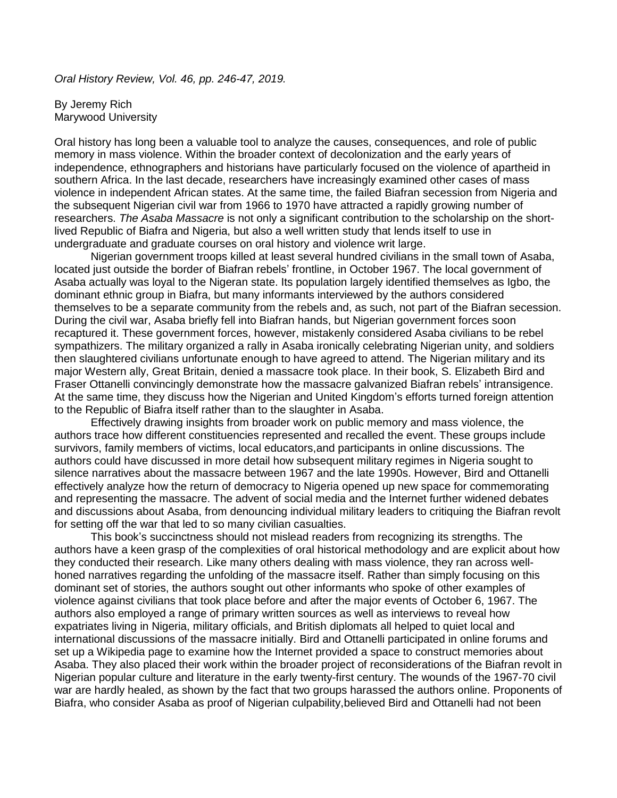*Oral History Review, Vol. 46, pp. 246-47, 2019.*

By Jeremy Rich Marywood University

Oral history has long been a valuable tool to analyze the causes, consequences, and role of public memory in mass violence. Within the broader context of decolonization and the early years of independence, ethnographers and historians have particularly focused on the violence of apartheid in southern Africa. In the last decade, researchers have increasingly examined other cases of mass violence in independent African states. At the same time, the failed Biafran secession from Nigeria and the subsequent Nigerian civil war from 1966 to 1970 have attracted a rapidly growing number of researchers. *The Asaba Massacre* is not only a significant contribution to the scholarship on the shortlived Republic of Biafra and Nigeria, but also a well written study that lends itself to use in undergraduate and graduate courses on oral history and violence writ large.

Nigerian government troops killed at least several hundred civilians in the small town of Asaba, located just outside the border of Biafran rebels' frontline, in October 1967. The local government of Asaba actually was loyal to the Nigeran state. Its population largely identified themselves as Igbo, the dominant ethnic group in Biafra, but many informants interviewed by the authors considered themselves to be a separate community from the rebels and, as such, not part of the Biafran secession. During the civil war, Asaba briefly fell into Biafran hands, but Nigerian government forces soon recaptured it. These government forces, however, mistakenly considered Asaba civilians to be rebel sympathizers. The military organized a rally in Asaba ironically celebrating Nigerian unity, and soldiers then slaughtered civilians unfortunate enough to have agreed to attend. The Nigerian military and its major Western ally, Great Britain, denied a massacre took place. In their book, S. Elizabeth Bird and Fraser Ottanelli convincingly demonstrate how the massacre galvanized Biafran rebels' intransigence. At the same time, they discuss how the Nigerian and United Kingdom's efforts turned foreign attention to the Republic of Biafra itself rather than to the slaughter in Asaba.

Effectively drawing insights from broader work on public memory and mass violence, the authors trace how different constituencies represented and recalled the event. These groups include survivors, family members of victims, local educators,and participants in online discussions. The authors could have discussed in more detail how subsequent military regimes in Nigeria sought to silence narratives about the massacre between 1967 and the late 1990s. However, Bird and Ottanelli effectively analyze how the return of democracy to Nigeria opened up new space for commemorating and representing the massacre. The advent of social media and the Internet further widened debates and discussions about Asaba, from denouncing individual military leaders to critiquing the Biafran revolt for setting off the war that led to so many civilian casualties.

This book's succinctness should not mislead readers from recognizing its strengths. The authors have a keen grasp of the complexities of oral historical methodology and are explicit about how they conducted their research. Like many others dealing with mass violence, they ran across wellhoned narratives regarding the unfolding of the massacre itself. Rather than simply focusing on this dominant set of stories, the authors sought out other informants who spoke of other examples of violence against civilians that took place before and after the major events of October 6, 1967. The authors also employed a range of primary written sources as well as interviews to reveal how expatriates living in Nigeria, military officials, and British diplomats all helped to quiet local and international discussions of the massacre initially. Bird and Ottanelli participated in online forums and set up a Wikipedia page to examine how the Internet provided a space to construct memories about Asaba. They also placed their work within the broader project of reconsiderations of the Biafran revolt in Nigerian popular culture and literature in the early twenty-first century. The wounds of the 1967-70 civil war are hardly healed, as shown by the fact that two groups harassed the authors online. Proponents of Biafra, who consider Asaba as proof of Nigerian culpability,believed Bird and Ottanelli had not been